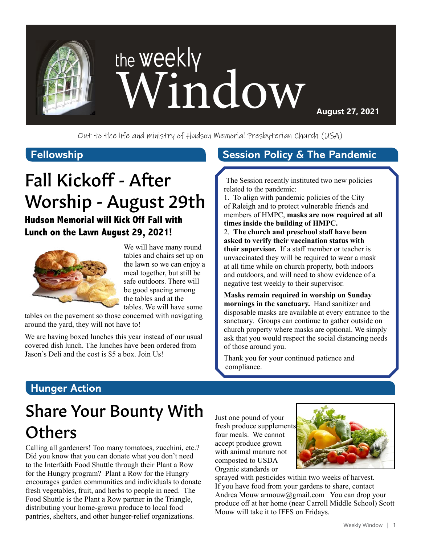

**August 27, 2021**

Out to the life and ministry of Hudson Memorial Presbyterian Church (USA)

### **Fellowship**

# Fall Kickoff - After Worship - August 29th

### **Hudson Memorial will Kick Off Fall with Lunch on the Lawn August 29, 2021!**



We will have many round tables and chairs set up on the lawn so we can enjoy a meal together, but still be safe outdoors. There will be good spacing among the tables and at the tables. We will have some

tables on the pavement so those concerned with navigating around the yard, they will not have to!

We are having boxed lunches this year instead of our usual covered dish lunch. The lunches have been ordered from Jason's Deli and the cost is \$5 a box. Join Us!

#### **Session Policy & The Pandemic**

The Session recently instituted two new policies related to the pandemic:

1. To align with pandemic policies of the City of Raleigh and to protect vulnerable friends and members of HMPC, **masks are now required at all times inside the building of HMPC.** 

2. **The church and preschool staff have been asked to verify their vaccination status with their supervisor.** If a staff member or teacher is unvaccinated they will be required to wear a mask at all time while on church property, both indoors and outdoors, and will need to show evidence of a negative test weekly to their supervisor.

**Masks remain required in worship on Sunday mornings in the sanctuary.** Hand sanitizer and disposable masks are available at every entrance to the sanctuary. Groups can continue to gather outside on church property where masks are optional. We simply ask that you would respect the social distancing needs of those around you.

Thank you for your continued patience and compliance.

## **Hunger Action**

# Share Your Bounty With **Others**

Calling all gardeners! Too many tomatoes, zucchini, etc.? Did you know that you can donate what you don't need to the Interfaith Food Shuttle through their Plant a Row for the Hungry program? Plant a Row for the Hungry encourages garden communities and individuals to donate fresh vegetables, fruit, and herbs to people in need. The Food Shuttle is the Plant a Row partner in the Triangle, distributing your home-grown produce to local food pantries, shelters, and other hunger-relief organizations.

Just one pound of your fresh produce supplements four meals. We cannot accept produce grown with animal manure not composted to USDA Organic standards or



sprayed with pesticides within two weeks of harvest. If you have food from your gardens to share, contact Andrea Mouw armouw@gmail.com You can drop your produce off at her home (near Carroll Middle School) Scott Mouw will take it to IFFS on Fridays.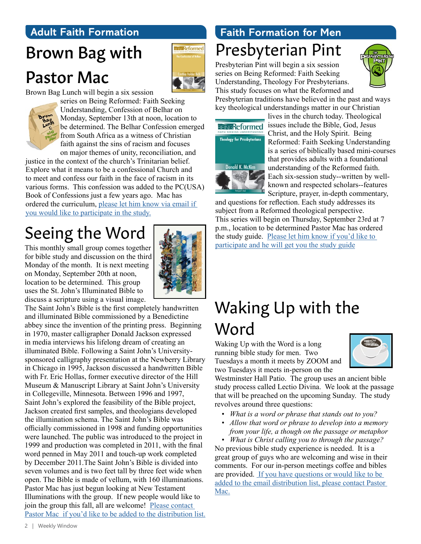### **Adult Faith Formation**

# Brown Bag with Pastor Mac



Brown Bag Lunch will begin a six session



series on Being Reformed: Faith Seeking Understanding, Confession of Belhar on Monday, September 13th at noon, location to be determined. The Belhar Confession emerged from South Africa as a witness of Christian faith against the sins of racism and focuses on major themes of unity, reconciliation, and

justice in the context of the church's Trinitarian belief. Explore what it means to be a confessional Church and to meet and confess our faith in the face of racism in its various forms. This confession was added to the PC(USA) Book of Confessions just a few years ago. Mac has ordered the curriculum, [please let him know via email if](mailto:mschafer%40hmpc.org?subject=)  [you would like to participate in the study.](mailto:mschafer%40hmpc.org?subject=)

# Seeing the Word

This monthly small group comes together for bible study and discussion on the third Monday of the month. It is next meeting on Monday, September 20th at noon, location to be determined. This group uses the St. John's Illuminated Bible to discuss a scripture using a visual image.



The Saint John's Bible is the first completely handwritten and illuminated Bible commissioned by a Benedictine abbey since the invention of the printing press. Beginning in 1970, master calligrapher Donald Jackson expressed in media interviews his lifelong dream of creating an illuminated Bible. Following a Saint John's Universitysponsored calligraphy presentation at the Newberry Library in Chicago in 1995, Jackson discussed a handwritten Bible with Fr. Eric Hollas, former executive director of the Hill Museum & Manuscript Library at Saint John's University in Collegeville, Minnesota. Between 1996 and 1997, Saint John's explored the feasibility of the Bible project, Jackson created first samples, and theologians developed the illumination schema. The Saint John's Bible was officially commissioned in 1998 and funding opportunities were launched. The public was introduced to the project in 1999 and production was completed in 2011, with the final word penned in May 2011 and touch-up work completed by December 2011.The Saint John's Bible is divided into seven volumes and is two feet tall by three feet wide when open. The Bible is made of vellum, with 160 illuminations. Pastor Mac has just begun looking at New Testament Illuminations with the group. If new people would like to join the group this fall, all are welcome! [Please contact](mailto:mschafer%40hmpc.org?subject=)  [Pastor Mac if you'd like to be added to the distribution list.](mailto:mschafer%40hmpc.org?subject=)

# Presbyterian Pint **Faith Formation for Men**

Presbyterian Pint will begin a six session series on Being Reformed: Faith Seeking Understanding, Theology For Presbyterians.



This study focuses on what the Reformed and Presbyterian traditions have believed in the past and ways key theological understandings matter in our Christian



lives in the church today. Theological **EFINGReformed** issues include the Bible, God, Jesus Christ, and the Holy Spirit. Being Reformed: Faith Seeking Understanding is a series of biblically based mini-courses that provides adults with a foundational understanding of the Reformed faith. Each six-session study--written by wellknown and respected scholars--features Scripture, prayer, in-depth commentary,

and questions for reflection. Each study addresses its subject from a Reformed theological perspective. This series will begin on Thursday, September 23rd at 7 p.m., location to be determined Pastor Mac has ordered the study guide. [Please let him know if you'd like to](mailto:mschafer%40hmpc.org?subject=)  [participate and he will get you the study guide](mailto:mschafer%40hmpc.org?subject=)

# Waking Up with the Word

Waking Up with the Word is a long running bible study for men. Two Tuesdays a month it meets by ZOOM and two Tuesdays it meets in-person on the



Westminster Hall Patio. The group uses an ancient bible study process called Lectio Divina. We look at the passage that will be preached on the upcoming Sunday. The study revolves around three questions:

- *• What is a word or phrase that stands out to you?*
- *• Allow that word or phrase to develop into a memory from your life, a though on the passage or metaphor*

*• What is Christ calling you to through the passage?* No previous bible study experience is needed. It is a great group of guys who are welcoming and wise in their comments. For our in-person meetings coffee and bibles are provided. [If you have questions or would like to be](mailto:mschafer%40hmpc.org?subject=)  [added to the email distribution list, please contact Pastor](mailto:mschafer%40hmpc.org?subject=)  [Mac.](mailto:mschafer%40hmpc.org?subject=)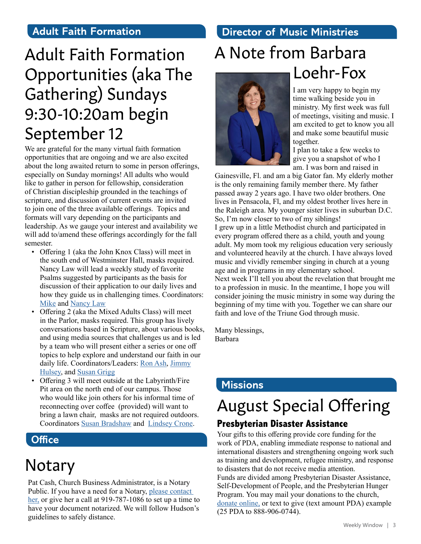### **Adult Faith Formation**

# Adult Faith Formation Opportunities (aka The Gathering) Sundays 9:30-10:20am begin September 12

We are grateful for the many virtual faith formation opportunities that are ongoing and we are also excited about the long awaited return to some in person offerings, especially on Sunday mornings! All adults who would like to gather in person for fellowship, consideration of Christian discipleship grounded in the teachings of scripture, and discussion of current events are invited to join one of the three available offerings. Topics and formats will vary depending on the participants and leadership. As we gauge your interest and availability we will add to/amend these offerings accordingly for the fall semester.

- Offering 1 (aka the John Knox Class) will meet in the south end of Westminster Hall, masks required. Nancy Law will lead a weekly study of favorite Psalms suggested by participants as the basis for discussion of their application to our daily lives and how they guide us in challenging times. Coordinators: [Mike](http://ddelaw1965@verizon.net) and [Nancy Law](http://nlaw1965@verizon.net)
- Offering 2 (aka the Mixed Adults Class) will meet in the Parlor, masks required. This group has lively conversations based in Scripture, about various books, and using media sources that challenges us and is led by a team who will present either a series or one off topics to help explore and understand our faith in our daily life. Coordinators/Leaders: [Ron Ash](mailto:ronpeeps%40gmail.com?subject=), [Jimmy](mailto:zwihulsey%40gmail.com?subject=) [Hulsey](mailto:zwihulsey%40gmail.com?subject=), and [Susan Grigg](mailto:irismom1%40att.net?subject=)
- Offering 3 will meet outside at the Labyrinth/Fire Pit area on the north end of our campus. Those who would like join others for his informal time of reconnecting over coffee (provided) will want to bring a lawn chair, masks are not required outdoors. Coordinators [Susan Bradshaw](mailto:susanbradshaw8%40gmail.com?subject=) and [Lindsey Crone](mailto:logden87%40gmail.com?subject=).

## **Office**

# Notary

Pat Cash, Church Business Administrator, is a Notary Public. If you have a need for a Notary, please contact [her,](mailto:pcash%40hmpc.org?subject=) or give her a call at 919-787-1086 to set up a time to have your document notarized. We will follow Hudson's guidelines to safely distance.

# **Director of Music Ministries**

# A Note from Barbara Loehr-Fox



#### I am very happy to begin my time walking beside you in ministry. My first week was full of meetings, visiting and music. I am excited to get to know you all and make some beautiful music together.

I plan to take a few weeks to give you a snapshot of who I am. I was born and raised in

Gainesville, Fl. and am a big Gator fan. My elderly mother is the only remaining family member there. My father passed away 2 years ago. I have two older brothers. One lives in Pensacola, Fl, and my oldest brother lives here in the Raleigh area. My younger sister lives in suburban D.C. So, I'm now closer to two of my siblings! I grew up in a little Methodist church and participated in every program offered there as a child, youth and young adult. My mom took my religious education very seriously and volunteered heavily at the church. I have always loved music and vividly remember singing in church at a young age and in programs in my elementary school. Next week I'll tell you about the revelation that brought me to a profession in music. In the meantime, I hope you will consider joining the music ministry in some way during the beginning of my time with you. Together we can share our faith and love of the Triune God through music.

Many blessings, Barbara

# **Missions**

# August Special Offering

### **Presbyterian Disaster Assistance**

Your gifts to this offering provide core funding for the work of PDA, enabling immediate response to national and international disasters and strengthening ongoing work such as training and development, refugee ministry, and response to disasters that do not receive media attention. Funds are divided among Presbyterian Disaster Assistance, Self-Development of People, and the Presbyterian Hunger Program. You may mail your donations to the church, [donate online,](https://www.eservicepayments.com/cgi-bin/Vanco_ver3.vps?appver3=Fi1giPL8kwX_Oe1AO50jRnQ574HZh5kFEHVJ6e5We_Us4NSQukCYDzKLUtTTUlsf2EvVVAEjqawDomKT1pbouTsRltlX7QEmZN4jxtbsYBc=&ver=3) or text to give (text amount PDA) example (25 PDA to 888-906-0744).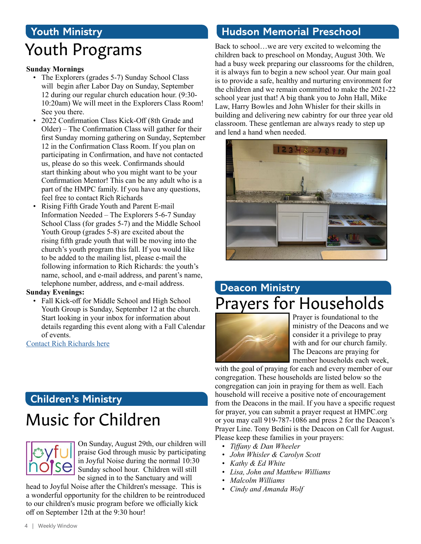# **Youth Ministry** Youth Programs

#### **Sunday Mornings**

- The Explorers (grades 5-7) Sunday School Class will begin after Labor Day on Sunday, September 12 during our regular church education hour. (9:30- 10:20am) We will meet in the Explorers Class Room! See you there.
- 2022 Confirmation Class Kick-Off (8th Grade and Older) – The Confirmation Class will gather for their first Sunday morning gathering on Sunday, September 12 in the Confirmation Class Room. If you plan on participating in Confirmation, and have not contacted us, please do so this week. Confirmands should start thinking about who you might want to be your Confirmation Mentor! This can be any adult who is a part of the HMPC family. If you have any questions, feel free to contact Rich Richards
- Rising Fifth Grade Youth and Parent E-mail Information Needed – The Explorers 5-6-7 Sunday School Class (for grades 5-7) and the Middle School Youth Group (grades 5-8) are excited about the rising fifth grade youth that will be moving into the church's youth program this fall. If you would like to be added to the mailing list, please e-mail the following information to Rich Richards: the youth's name, school, and e-mail address, and parent's name, telephone number, address, and e-mail address.

#### **Sunday Evenings:**

• Fall Kick-off for Middle School and High School Youth Group is Sunday, September 12 at the church. Start looking in your inbox for information about details regarding this event along with a Fall Calendar of events.

[Contact Rich Richards here](mailto:rrichards%40hmpc.org?subject=)

## **Children's Ministry**

# Music for Children



On Sunday, August 29th, our children will praise God through music by participating in Joyful Noise during the normal 10:30 Sunday school hour. Children will still be signed in to the Sanctuary and will

head to Joyful Noise after the Children's message. This is a wonderful opportunity for the children to be reintroduced to our children's music program before we officially kick off on September 12th at the 9:30 hour!

### **Hudson Memorial Preschool**

Back to school…we are very excited to welcoming the children back to preschool on Monday, August 30th. We had a busy week preparing our classrooms for the children, it is always fun to begin a new school year. Our main goal is to provide a safe, healthy and nurturing environment for the children and we remain committed to make the 2021-22 school year just that! A big thank you to John Hall, Mike Law, Harry Bowles and John Whisler for their skills in building and delivering new cabintry for our three year old classroom. These gentleman are always ready to step up and lend a hand when needed.



# **Deacon Ministry** Prayers for Households



Prayer is foundational to the ministry of the Deacons and we consider it a privilege to pray with and for our church family. The Deacons are praying for member households each week,

with the goal of praying for each and every member of our congregation. These households are listed below so the congregation can join in praying for them as well. Each household will receive a positive note of encouragement from the Deacons in the mail. If you have a specific request for prayer, you can submit a prayer request at HMPC.org or you may call 919-787-1086 and press 2 for the Deacon's Prayer Line. Tony Bedini is the Deacon on Call for August. Please keep these families in your prayers:

- *• Tiffany & Dan Wheeler*
- *• John Whisler & Carolyn Scott*
- *• Kathy & Ed White*
- *• Lisa, John and Matthew Williams*
- *• Malcolm Williams*
- *• Cindy and Amanda Wolf*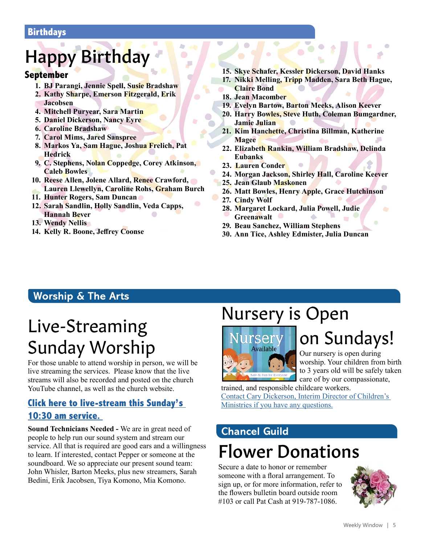#### **Birthdays**

# Happy Birthday

#### **September**

- **1. BJ Parangi, Jennie Spell, Susie Bradshaw**
- **2. Kathy Sharpe, Emerson Fitzgerald, Erik Jacobsen**
- **4. Mitchell Puryear, Sara Martin**
- **5. Daniel Dickerson, Nancy Eyre**
- **6. Caroline Bradshaw**
- **7. Carol Mims, Jared Sanspree**
- **8. Markos Ya, Sam Hague, Joshua Frelich, Pat Hedrick**
- **9. C. Stephens, Nolan Coppedge, Corey Atkinson, Caleb Bowles**
- **10. Reese Allen, Jolene Allard, Renee Crawford, Lauren Llewellyn, Caroline Rohs, Graham Burch**
- **11. Hunter Rogers, Sam Duncan**
- **12. Sarah Sandlin, Holly Sandlin, Veda Capps, Hannah Bever**
- **13. Wendy Nellis**
- **14. Kelly R. Boone, Jeffrey Coonse**
- **15. Skye Schafer, Kessler Dickerson, David Hanks**
- **17. Nikki Melling, Tripp Madden, Sara Beth Hague, Claire Bond**
- **18. Jean Macomber**
- **19. Evelyn Bartow, Barton Meeks, Alison Keever**
- **20. Harry Bowles, Steve Huth, Coleman Bumgardner, Jamie Julian**
- **21. Kim Hanchette, Christina Billman, Katherine Magee**
- **22. Elizabeth Rankin, William Bradshaw, Delinda Eubanks**
- **23. Lauren Conder**
- **24. Morgan Jackson, Shirley Hall, Caroline Keever**
- **25. Jean Glaub Maskonen**
- **26. Matt Bowles, Henry Apple, Grace Hutchinson**
- **27. Cindy Wolf**
- **28. Margaret Lockard, Julia Powell, Judie Greenawalt**
- **29. Beau Sanchez, William Stephens**
- **30. Ann Tice, Ashley Edmister, Julia Duncan**

# **Worship & The Arts**

# Live-Streaming Sunday Worship

For those unable to attend worship in person, we will be live streaming the services. Please know that the live streams will also be recorded and posted on the church YouTube channel, as well as the church website.

### **[Click here to live-stream this Sunday's](https://www.youtube.com/channel/UCuYf7XqKx9g_Mc0_BsPkWlA)  [10:30 am service.](https://www.youtube.com/channel/UCuYf7XqKx9g_Mc0_BsPkWlA)**

**Sound Technicians Needed -** We are in great need of people to help run our sound system and stream our service. All that is required are good ears and a willingness to learn. If interested, contact Pepper or someone at the soundboard. We so appreciate our present sound team: John Whisler, Barton Meeks, plus new streamers, Sarah Bedini, Erik Jacobsen, Tiya Komono, Mia Komono.

# Nursery is Open



# on Sundays!

Our nursery is open during worship. Your children from birth to 3 years old will be safely taken care of by our compassionate,

trained, and responsible childcare workers. [Contact Cary Dickerson, Interim Director of Children's](mailto:cdickerson%40hmpc.org?subject=)  [Ministries if you have any questions.](mailto:cdickerson%40hmpc.org?subject=)

# Flower Donations **Chancel Guild**

Secure a date to honor or remember someone with a floral arrangement. To sign up, or for more information, refer to the flowers bulletin board outside room #103 or call Pat Cash at 919-787-1086.